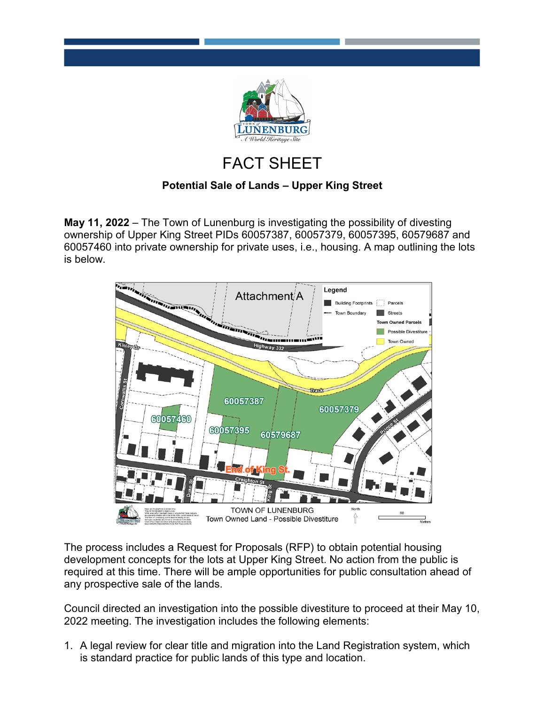

## FACT SHEET

## **Potential Sale of Lands – Upper King Street**

**May 11, 2022** – The Town of Lunenburg is investigating the possibility of divesting ownership of Upper King Street PIDs 60057387, 60057379, 60057395, 60579687 and 60057460 into private ownership for private uses, i.e., housing. A map outlining the lots is below.



The process includes a Request for Proposals (RFP) to obtain potential housing development concepts for the lots at Upper King Street. No action from the public is required at this time. There will be ample opportunities for public consultation ahead of any prospective sale of the lands.

Council directed an investigation into the possible divestiture to proceed at their May 10, 2022 meeting. The investigation includes the following elements:

1. A legal review for clear title and migration into the Land Registration system, which is standard practice for public lands of this type and location.